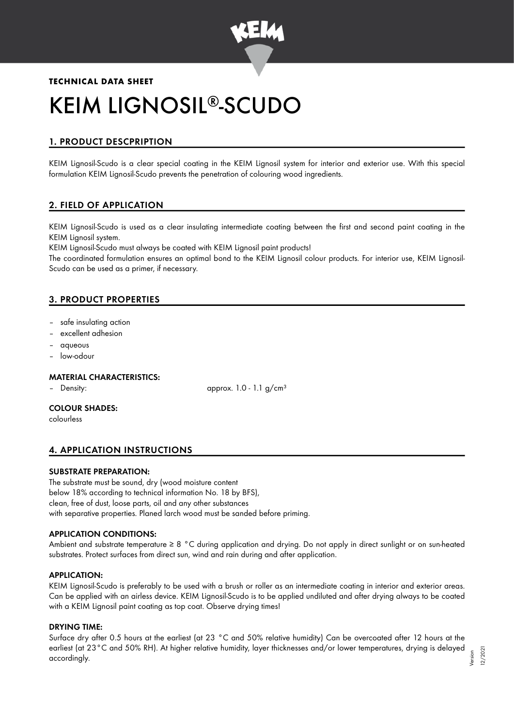

# **TECHNICAL DATA SHEET** KEIM LIGNOSIL®-SCUDO

# 1. PRODUCT DESCPRIPTION

KEIM Lignosil-Scudo is a clear special coating in the KEIM Lignosil system for interior and exterior use. With this special formulation KEIM Lignosil-Scudo prevents the penetration of colouring wood ingredients.

# 2. FIELD OF APPLICATION

KEIM Lignosil-Scudo is used as a clear insulating intermediate coating between the first and second paint coating in the KEIM Lignosil system.

KEIM Lignosil-Scudo must always be coated with KEIM Lignosil paint products!

The coordinated formulation ensures an optimal bond to the KEIM Lignosil colour products. For interior use, KEIM Lignosil-Scudo can be used as a primer, if necessary.

# 3. PRODUCT PROPERTIES

- safe insulating action
- excellent adhesion
- aqueous
- low-odour

#### MATERIAL CHARACTERISTICS:

– Density: approx. 1.0 - 1.1 g/cm<sup>3</sup>

### COLOUR SHADES:

colourless

# 4. APPLICATION INSTRUCTIONS

#### SUBSTRATE PREPARATION:

The substrate must be sound, dry (wood moisture content below 18% according to technical information No. 18 by BFS), clean, free of dust, loose parts, oil and any other substances with separative properties. Planed larch wood must be sanded before priming.

# APPLICATION CONDITIONS:

Ambient and substrate temperature ≥ 8 °C during application and drying. Do not apply in direct sunlight or on sun-heated substrates. Protect surfaces from direct sun, wind and rain during and after application.

#### APPLICATION:

KEIM Lignosil-Scudo is preferably to be used with a brush or roller as an intermediate coating in interior and exterior areas. Can be applied with an airless device. KEIM Lignosil-Scudo is to be applied undiluted and after drying always to be coated with a KEIM Lignosil paint coating as top coat. Observe drying times!

#### DRYING TIME:

Surface dry after 0.5 hours at the earliest (at 23 °C and 50% relative humidity) Can be overcoated after 12 hours at the earliest (at 23°C and 50% RH). At higher relative humidity, layer thicknesses and/or lower temperatures, drying is delayed accordingly.